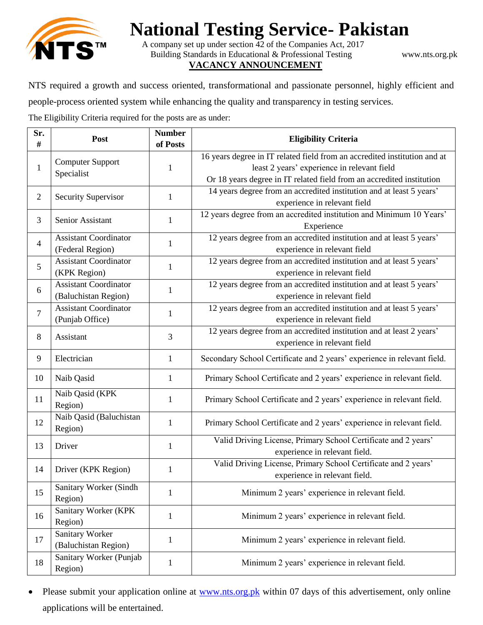

## **National Testing Service- Pakistan**

A company set up under section 42 of the Companies Act, 2017 Building Standards in Educational & Professional Testing www.nts.org.pk **VACANCY ANNOUNCEMENT**

NTS required a growth and success oriented, transformational and passionate personnel, highly efficient and

people-process oriented system while enhancing the quality and transparency in testing services.

The Eligibility Criteria required for the posts are as under:

| Sr.<br>#       | Post                                                 | <b>Number</b><br>of Posts | <b>Eligibility Criteria</b>                                                                                                                                                                       |
|----------------|------------------------------------------------------|---------------------------|---------------------------------------------------------------------------------------------------------------------------------------------------------------------------------------------------|
| $\mathbf{1}$   | <b>Computer Support</b><br>Specialist                | 1                         | 16 years degree in IT related field from an accredited institution and at<br>least 2 years' experience in relevant field<br>Or 18 years degree in IT related field from an accredited institution |
| $\overline{2}$ | <b>Security Supervisor</b>                           | 1                         | 14 years degree from an accredited institution and at least 5 years'<br>experience in relevant field                                                                                              |
| 3              | Senior Assistant                                     | 1                         | 12 years degree from an accredited institution and Minimum 10 Years'<br>Experience                                                                                                                |
| 4              | <b>Assistant Coordinator</b><br>(Federal Region)     | 1                         | 12 years degree from an accredited institution and at least 5 years'<br>experience in relevant field                                                                                              |
| 5              | <b>Assistant Coordinator</b><br>(KPK Region)         | $\mathbf{1}$              | 12 years degree from an accredited institution and at least 5 years'<br>experience in relevant field                                                                                              |
| 6              | <b>Assistant Coordinator</b><br>(Baluchistan Region) | 1                         | 12 years degree from an accredited institution and at least 5 years'<br>experience in relevant field                                                                                              |
| $\overline{7}$ | <b>Assistant Coordinator</b><br>(Punjab Office)      | 1                         | 12 years degree from an accredited institution and at least 5 years'<br>experience in relevant field                                                                                              |
| 8              | Assistant                                            | 3                         | 12 years degree from an accredited institution and at least 2 years'<br>experience in relevant field                                                                                              |
| 9              | Electrician                                          | $\mathbf{1}$              | Secondary School Certificate and 2 years' experience in relevant field.                                                                                                                           |
| 10             | Naib Qasid                                           | $\mathbf{1}$              | Primary School Certificate and 2 years' experience in relevant field.                                                                                                                             |
| 11             | Naib Qasid (KPK<br>Region)                           | 1                         | Primary School Certificate and 2 years' experience in relevant field.                                                                                                                             |
| 12             | Naib Qasid (Baluchistan<br>Region)                   | 1                         | Primary School Certificate and 2 years' experience in relevant field.                                                                                                                             |
| 13             | Driver                                               | $\mathbf{1}$              | Valid Driving License, Primary School Certificate and 2 years'<br>experience in relevant field.                                                                                                   |
| 14             | Driver (KPK Region)                                  | $\mathbf{1}$              | Valid Driving License, Primary School Certificate and 2 years'<br>experience in relevant field.                                                                                                   |
| 15             | Sanitary Worker (Sindh<br>Region)                    | $\mathbf{1}$              | Minimum 2 years' experience in relevant field.                                                                                                                                                    |
| 16             | Sanitary Worker (KPK<br>Region)                      | $\mathbf{1}$              | Minimum 2 years' experience in relevant field.                                                                                                                                                    |
| 17             | <b>Sanitary Worker</b><br>(Baluchistan Region)       | $\mathbf{1}$              | Minimum 2 years' experience in relevant field.                                                                                                                                                    |
| 18             | Sanitary Worker (Punjab<br>Region)                   | $\mathbf{1}$              | Minimum 2 years' experience in relevant field.                                                                                                                                                    |

• Please submit your application online at [www.nts.org.pk](http://www.nts.org.pk/) within 07 days of this advertisement, only online applications will be entertained.